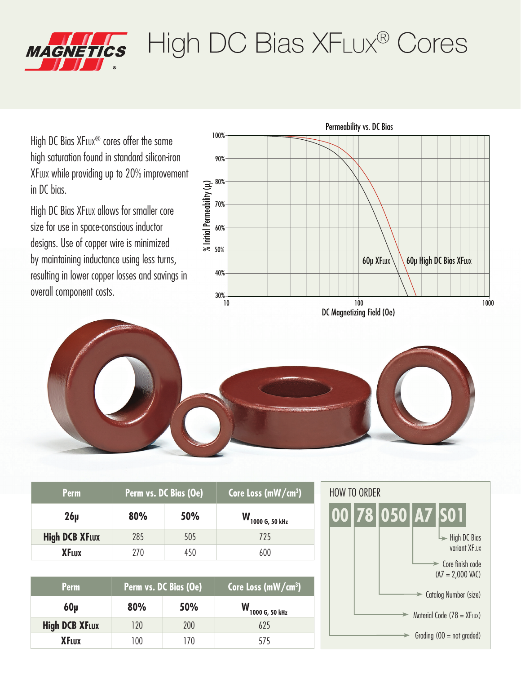

## High DC Bias XFLux® Cores

High DC Bias XFLUX<sup>®</sup> cores offer the same high saturation found in standard silicon-iron XFlux while providing up to 20% improvement in DC bias.

High DC Bias XFLUX allows for smaller core size for use in space-conscious inductor designs. Use of copper wire is minimized by maintaining inductance using less turns, resulting in lower copper losses and savings in overall component costs.





| <b>Perm</b>           | Perm vs. DC Bias (Oe) |     | Core Loss (mW/cm <sup>3</sup> ) |
|-----------------------|-----------------------|-----|---------------------------------|
| $26\mu$               | 80%                   | 50% | W 1000 G, 50 kHz                |
| <b>High DCB XFLUX</b> | 285                   | 505 | 725                             |
| <b>XFLUX</b>          | 270                   | 450 | 600                             |
|                       |                       |     |                                 |
| <b>Perm</b>           | Perm vs. DC Bias (Oe) |     | Core Loss (mW/cm <sup>3</sup> ) |
| $60\mu$               | 80%                   | 50% | W <sub>1000 G, 50 kHz</sub>     |
| <b>High DCB XFLUX</b> | 120                   | 200 | 625                             |
| <b>XFLUX</b>          | 100                   | 170 | 575                             |